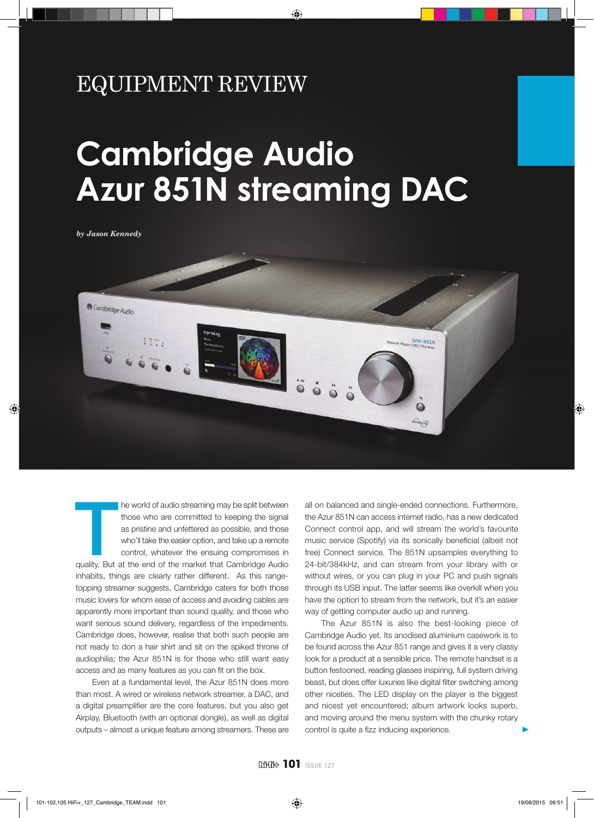## EQUIPMENT REVIEW

## **Cambridge Audio Azur 851N streaming DAC**

*by Jason Kennedy*



In the world of audio streaming may be split between<br>those who are committed to keeping the signal<br>as pristine and unfettered as possible, and those<br>who'll take the easier option, and take up a remote<br>control, whatever the he world of audio streaming may be split between those who are committed to keeping the signal as pristine and unfettered as possible, and those who'll take the easier option, and take up a remote control, whatever the ensuing compromises in inhabits, things are clearly rather different. As this rangetopping streamer suggests, Cambridge caters for both those music lovers for whom ease of access and avoiding cables are apparently more important than sound quality, and those who want serious sound delivery, regardless of the impediments. Cambridge does, however, realise that both such people are not ready to don a hair shirt and sit on the spiked throne of audiophilia; the Azur 851N is for those who still want easy access and as many features as you can fit on the box.

Even at a fundamental level, the Azur 851N does more than most. A wired or wireless network streamer, a DAC, and a digital preamplifier are the core features, but you also get Airplay, Bluetooth (with an optional dongle), as well as digital outputs – almost a unique feature among streamers. These are all on balanced and single-ended connections. Furthermore, the Azur 851N can access internet radio, has a new dedicated Connect control app, and will stream the world's favourite music service (Spotify) via its sonically beneficial (albeit not free) Connect service. The 851N upsamples everything to 24-bit/384kHz, and can stream from your library with or without wires, or you can plug in your PC and push signals through its USB input. The latter seems like overkill when you have the option to stream from the network, but it's an easier way of getting computer audio up and running.

The Azur 851N is also the best-looking piece of Cambridge Audio yet. Its anodised aluminium casework is to be found across the Azur 851 range and gives it a very classy look for a product at a sensible price. The remote handset is a button festooned, reading glasses inspiring, full system driving beast, but does offer luxuries like digital filter switching among other niceties. The LED display on the player is the biggest and nicest yet encountered; album artwork looks superb, and moving around the menu system with the chunky rotary control is quite a fizz inducing experience.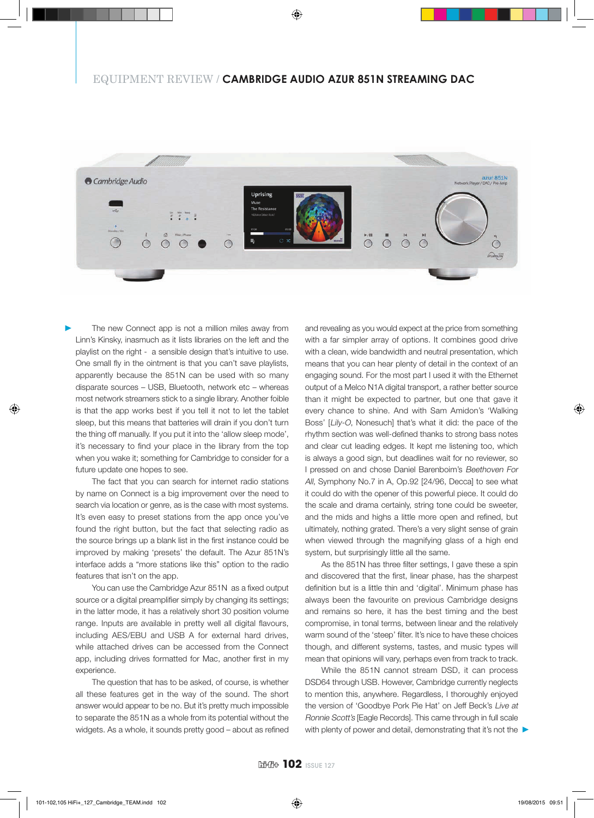## EQUIPMENT REVIEW / **CAMBRIDGE AUDIO AZUR 851N STREAMING DAC**



The new Connect app is not a million miles away from Linn's Kinsky, inasmuch as it lists libraries on the left and the playlist on the right - a sensible design that's intuitive to use. One small fly in the ointment is that you can't save playlists, apparently because the 851N can be used with so many disparate sources – USB, Bluetooth, network etc – whereas most network streamers stick to a single library. Another foible is that the app works best if you tell it not to let the tablet sleep, but this means that batteries will drain if you don't turn the thing off manually. If you put it into the 'allow sleep mode', it's necessary to find your place in the library from the top when you wake it; something for Cambridge to consider for a future update one hopes to see.

The fact that you can search for internet radio stations by name on Connect is a big improvement over the need to search via location or genre, as is the case with most systems. It's even easy to preset stations from the app once you've found the right button, but the fact that selecting radio as the source brings up a blank list in the first instance could be improved by making 'presets' the default. The Azur 851N's interface adds a "more stations like this" option to the radio features that isn't on the app.

You can use the Cambridge Azur 851N as a fixed output source or a digital preamplifier simply by changing its settings; in the latter mode, it has a relatively short 30 position volume range. Inputs are available in pretty well all digital flavours, including AES/EBU and USB A for external hard drives, while attached drives can be accessed from the Connect app, including drives formatted for Mac, another first in my experience.

The question that has to be asked, of course, is whether all these features get in the way of the sound. The short answer would appear to be no. But it's pretty much impossible to separate the 851N as a whole from its potential without the widgets. As a whole, it sounds pretty good - about as refined and revealing as you would expect at the price from something with a far simpler array of options. It combines good drive with a clean, wide bandwidth and neutral presentation, which means that you can hear plenty of detail in the context of an engaging sound. For the most part I used it with the Ethernet output of a Melco N1A digital transport, a rather better source than it might be expected to partner, but one that gave it every chance to shine. And with Sam Amidon's 'Walking Boss' [Lily-O, Nonesuch] that's what it did: the pace of the rhythm section was well-defined thanks to strong bass notes and clear cut leading edges. It kept me listening too, which is always a good sign, but deadlines wait for no reviewer, so I pressed on and chose Daniel Barenboim's Beethoven For All, Symphony No.7 in A, Op.92 [24/96, Decca] to see what it could do with the opener of this powerful piece. It could do the scale and drama certainly, string tone could be sweeter, and the mids and highs a little more open and refined, but ultimately, nothing grated. There's a very slight sense of grain when viewed through the magnifying glass of a high end system, but surprisingly little all the same.

As the 851N has three filter settings, I gave these a spin and discovered that the first, linear phase, has the sharpest definition but is a little thin and 'digital'. Minimum phase has always been the favourite on previous Cambridge designs and remains so here, it has the best timing and the best compromise, in tonal terms, between linear and the relatively warm sound of the 'steep' filter. It's nice to have these choices though, and different systems, tastes, and music types will mean that opinions will vary, perhaps even from track to track.

While the 851N cannot stream DSD, it can process DSD64 through USB. However, Cambridge currently neglects to mention this, anywhere. Regardless, I thoroughly enjoyed the version of 'Goodbye Pork Pie Hat' on Jeff Beck's Live at Ronnie Scott's [Eagle Records]. This came through in full scale with plenty of power and detail, demonstrating that it's not the